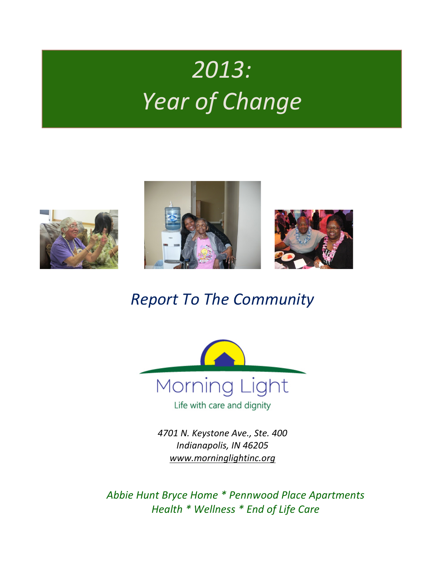# *2013: Year of Change*





## *Report To The Community*



*4701 N. Keystone Ave., Ste. 400* Indianapolis, IN 46205 *www.morninglightinc.org*

Abbie Hunt Bryce Home \* Pennwood Place Apartments *Health \* Wellness \* End of Life Care*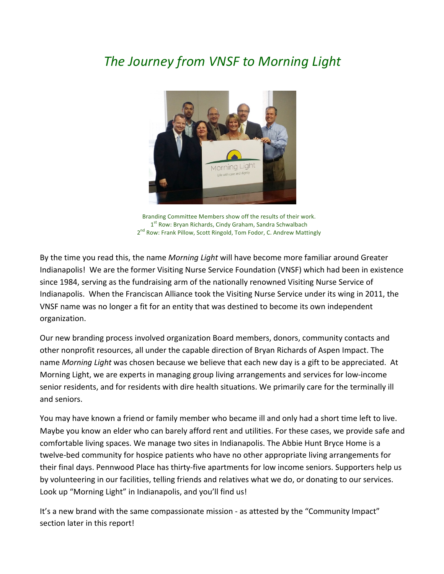### **The Journey from VNSF to Morning Light**



Branding Committee Members show off the results of their work. 1<sup>st</sup> Row: Bryan Richards, Cindy Graham, Sandra Schwalbach 2<sup>nd</sup> Row: Frank Pillow, Scott Ringold, Tom Fodor, C. Andrew Mattingly

By the time you read this, the name *Morning Light* will have become more familiar around Greater Indianapolis! We are the former Visiting Nurse Service Foundation (VNSF) which had been in existence since 1984, serving as the fundraising arm of the nationally renowned Visiting Nurse Service of Indianapolis. When the Franciscan Alliance took the Visiting Nurse Service under its wing in 2011, the VNSF name was no longer a fit for an entity that was destined to become its own independent organization.

Our new branding process involved organization Board members, donors, community contacts and other nonprofit resources, all under the capable direction of Bryan Richards of Aspen Impact. The name *Morning Light* was chosen because we believe that each new day is a gift to be appreciated. At Morning Light, we are experts in managing group living arrangements and services for low-income senior residents, and for residents with dire health situations. We primarily care for the terminally ill and seniors. 

You may have known a friend or family member who became ill and only had a short time left to live. Maybe you know an elder who can barely afford rent and utilities. For these cases, we provide safe and comfortable living spaces. We manage two sites in Indianapolis. The Abbie Hunt Bryce Home is a twelve-bed community for hospice patients who have no other appropriate living arrangements for their final days. Pennwood Place has thirty-five apartments for low income seniors. Supporters help us by volunteering in our facilities, telling friends and relatives what we do, or donating to our services. Look up "Morning Light" in Indianapolis, and you'll find us!

It's a new brand with the same compassionate mission - as attested by the "Community Impact" section later in this report!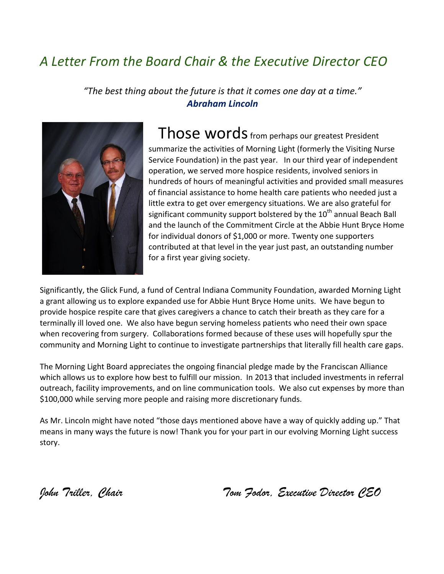### *A Letter From the Board Chair & the Executive Director CEO*

"The best thing about the future is that it comes one day at a time." *Abraham Lincoln*



Those words from perhaps our greatest President summarize the activities of Morning Light (formerly the Visiting Nurse Service Foundation) in the past year. In our third year of independent operation, we served more hospice residents, involved seniors in hundreds of hours of meaningful activities and provided small measures of financial assistance to home health care patients who needed just a little extra to get over emergency situations. We are also grateful for significant community support bolstered by the  $10<sup>th</sup>$  annual Beach Ball and the launch of the Commitment Circle at the Abbie Hunt Bryce Home for individual donors of \$1,000 or more. Twenty one supporters contributed at that level in the year just past, an outstanding number for a first year giving society.

Significantly, the Glick Fund, a fund of Central Indiana Community Foundation, awarded Morning Light a grant allowing us to explore expanded use for Abbie Hunt Bryce Home units. We have begun to provide hospice respite care that gives caregivers a chance to catch their breath as they care for a terminally ill loved one. We also have begun serving homeless patients who need their own space when recovering from surgery. Collaborations formed because of these uses will hopefully spur the community and Morning Light to continue to investigate partnerships that literally fill health care gaps.

The Morning Light Board appreciates the ongoing financial pledge made by the Franciscan Alliance which allows us to explore how best to fulfill our mission. In 2013 that included investments in referral outreach, facility improvements, and on line communication tools. We also cut expenses by more than \$100,000 while serving more people and raising more discretionary funds.

As Mr. Lincoln might have noted "those days mentioned above have a way of quickly adding up." That means in many ways the future is now! Thank you for your part in our evolving Morning Light success story. 

*John Triller, Chair Tom Fodor, Executive Director CEO*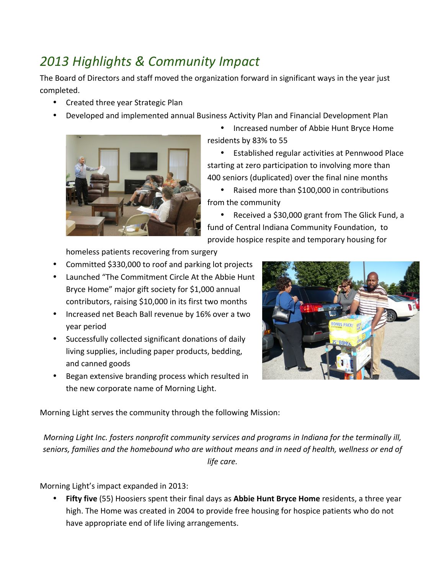### *2013 Highlights & Community Impact*

The Board of Directors and staff moved the organization forward in significant ways in the year just completed. 

- Created three year Strategic Plan
- Developed and implemented annual Business Activity Plan and Financial Development Plan



• Increased number of Abbie Hunt Bryce Home residents by 83% to 55

• Established regular activities at Pennwood Place starting at zero participation to involving more than 400 seniors (duplicated) over the final nine months

• Raised more than \$100,000 in contributions from the community

• Received a \$30,000 grant from The Glick Fund, a fund of Central Indiana Community Foundation, to provide hospice respite and temporary housing for

homeless patients recovering from surgery

- Committed \$330,000 to roof and parking lot projects
- Launched "The Commitment Circle At the Abbie Hunt Bryce Home" major gift society for \$1,000 annual contributors, raising \$10,000 in its first two months
- Increased net Beach Ball revenue by 16% over a two year period
- Successfully collected significant donations of daily living supplies, including paper products, bedding, and canned goods
- Began extensive branding process which resulted in the new corporate name of Morning Light.



Morning Light serves the community through the following Mission:

*Morning Light Inc. fosters nonprofit community services and programs in Indiana for the terminally ill,* seniors, families and the homebound who are without means and in need of health, wellness or end of *life care.*

Morning Light's impact expanded in 2013:

Fifty five (55) Hoosiers spent their final days as Abbie Hunt Bryce Home residents, a three year high. The Home was created in 2004 to provide free housing for hospice patients who do not have appropriate end of life living arrangements.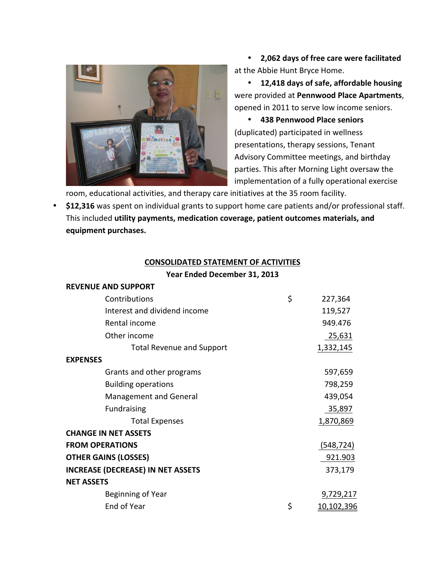

• **2,062 days of free care were facilitated** at the Abbie Hunt Bryce Home.

• **12,418 days of safe, affordable housing** were provided at **Pennwood Place Apartments**, opened in 2011 to serve low income seniors.

• **438 Pennwood Place seniors** (duplicated) participated in wellness presentations, therapy sessions, Tenant Advisory Committee meetings, and birthday parties. This after Morning Light oversaw the implementation of a fully operational exercise

room, educational activities, and therapy care initiatives at the 35 room facility.

• \$12,316 was spent on individual grants to support home care patients and/or professional staff. This included utility payments, medication coverage, patient outcomes materials, and equipment purchases.

#### **CONSOLIDATED STATEMENT OF ACTIVITIES**

#### Year Ended December 31, 2013

|                                          | <b>REVENUE AND SUPPORT</b>       |                         |
|------------------------------------------|----------------------------------|-------------------------|
|                                          | Contributions                    | \$<br>227,364           |
|                                          | Interest and dividend income     | 119,527                 |
|                                          | Rental income                    | 949.476                 |
|                                          | Other income                     | 25,631                  |
|                                          | <b>Total Revenue and Support</b> | 1,332,145               |
| <b>EXPENSES</b>                          |                                  |                         |
|                                          | Grants and other programs        | 597,659                 |
|                                          | <b>Building operations</b>       | 798,259                 |
|                                          | <b>Management and General</b>    | 439,054                 |
|                                          | <b>Fundraising</b>               | 35,897                  |
|                                          | <b>Total Expenses</b>            | 1,870,869               |
|                                          | <b>CHANGE IN NET ASSETS</b>      |                         |
| <b>FROM OPERATIONS</b>                   |                                  | (548, 724)              |
| <b>OTHER GAINS (LOSSES)</b>              |                                  | 921.903                 |
| <b>INCREASE (DECREASE) IN NET ASSETS</b> |                                  | 373,179                 |
| <b>NET ASSETS</b>                        |                                  |                         |
|                                          | Beginning of Year                | 9,729,217               |
|                                          | End of Year                      | \$<br><u>10,102,396</u> |
|                                          |                                  |                         |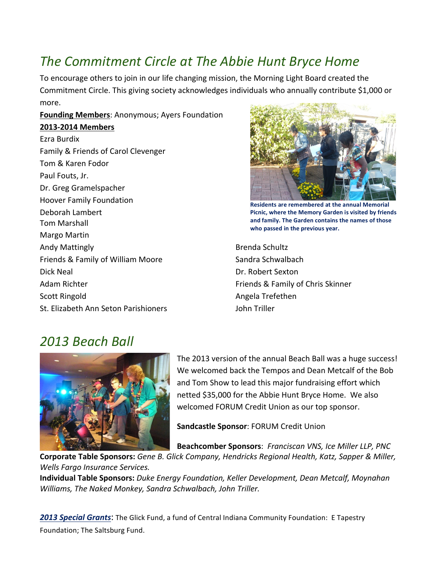### The Commitment Circle at The Abbie Hunt Bryce Home

To encourage others to join in our life changing mission, the Morning Light Board created the Commitment Circle. This giving society acknowledges individuals who annually contribute \$1,000 or more. 

#### **Founding Members: Anonymous; Ayers Foundation**

#### **2013-2014 Members**

Ezra Burdix Family & Friends of Carol Clevenger Tom & Karen Fodor Paul Fouts, Jr. Dr. Greg Gramelspacher Hoover Family Foundation Deborah Lambert Tom Marshall Margo Martin Andy Mattingly Friends & Family of William Moore Dick Neal Adam Richter Scott Ringold St. Elizabeth Ann Seton Parishioners



**Residents are remembered at the annual Memorial** Picnic, where the Memory Garden is visited by friends and family. The Garden contains the names of those who passed in the previous year.

Brenda Schultz Sandra Schwalbach Dr. Robert Sexton Friends & Family of Chris Skinner Angela Trefethen John Triller

#### *2013 Beach Ball*



The 2013 version of the annual Beach Ball was a huge success! We welcomed back the Tempos and Dean Metcalf of the Bob and Tom Show to lead this major fundraising effort which netted \$35,000 for the Abbie Hunt Bryce Home. We also welcomed FORUM Credit Union as our top sponsor.

**Sandcastle Sponsor: FORUM Credit Union** 

**Beachcomber Sponsors: Franciscan VNS, Ice Miller LLP, PNC** 

Corporate Table Sponsors: Gene B. Glick Company, Hendricks Regional Health, Katz, Sapper & Miller, *Wells Fargo Insurance Services.*

**Individual Table Sponsors:** Duke Energy Foundation, Keller Development, Dean Metcalf, Moynahan *Williams, The Naked Monkey, Sandra Schwalbach, John Triller.* 

**2013 Special Grants:** The Glick Fund, a fund of Central Indiana Community Foundation: E Tapestry Foundation; The Saltsburg Fund.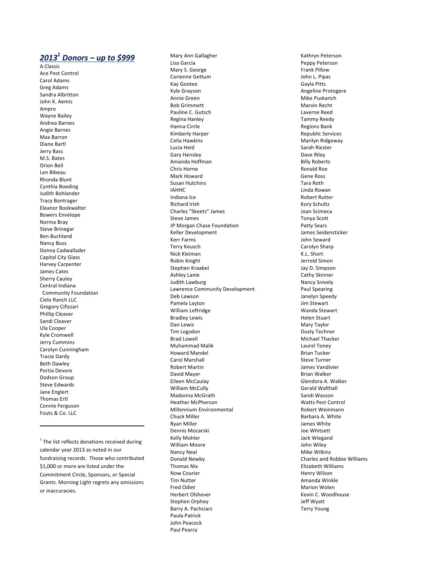#### *2013 <sup>1</sup> Donors – up to \$999*

A Classic Ace Pest Control Carol Adams Greg Adams Sandra Albritton John K. Aemis Ampro Wayne Bailey Andrea Barnes Angie Barnes Max Barron Diane Bartl Jerry Bass M.S. Bates Orion Bell Len Bibeau Rhonda Blunt Cynthia Boeding Judith Bohlander Tracy Bontrager Eleanor Bookwalter Bowers Envelope Norma Bray Steve Brinegar Ben Buchland Nancy Buss Donna Cadwallader Capital City Glass Harvey Carpenter James Cates Sherry Cauley Central Indiana Community Foundation Cielo Ranch LLC Gregory Cifizzari Phillip Cleaver Sandi Cleaver Ula Cooper Kyle Cromwell Jerry Cummins Carolyn Cunningham Tracie Dardy **Beth Dawley** Portia Devore Dodson Group Steve Edwards Jane Englert Thomas Ertl Connie Ferguson Fouts & Co. LLC

 $1$  The list reflects donations received during calendar year 2013 as noted in our fundraising records. Those who contributed \$1,000 or more are listed under the Commitment Circle, Sponsors, or Special Grants. Morning Light regrets any omissions or inaccuracies.

 

Mary Ann Gallagher Lisa Garcia Mary S. George Corienne Gettum Kay Gootee Kyle Grayson Annie Green Bob Grimmett Pauline C. Gutsch **Regina Hanley** Hanna Circle Kimberly Harper Celia Hawkins Lucia Heid Gary Hensley Amanda Hoffman Chris Horne Mark Howard Susan Hutchins IAHHC Indiana Ice **Richard Irish** Charles "Skeets" James Steve James JP Morgan Chase Foundation Keller Development Kerr Farms Terry Keusch Nick Kleiman Robin Knight Stephen Kraabel **Ashley Lanie** Judith Lawburg Lawrence Community Development Deb Lawson Pamela Layton William Leftridge Bradley Lewis Dan Lewis Tim Logsdon Brad Lowell Muhammad Malik Howard Mandel Carol Marshall **Robert Martin** David Mayer Eileen McCaulay William McCully Madonna McGrath Heather McPherson Millennium Environmental Chuck Miller Ryan Miller Dennis Mocarski Kelly Mohler William Moore Nancy Neal Donald Newby **Thomas Nix** Now Courier Tim Nutter Fred Odiet Herbert Olshever Stephen Orphey Barry A. Pachciarz Paula Patrick John Peacock Paul Pearcy

Kathryn Peterson Peppy Peterson Frank Pillow John L. Pipas Gayla Pitts Angeline Protogere Mike Puskarich Marvin Recht Laverne Reed Tammy Reedy **Regions Bank** Republic Services Marilyn Ridgeway Sarah Riester Dave Riley Billy Roberts Ronald Roe Gene Ross Tara Roth Linda Rowan Robert Rutter Kory Schultz Joan Scimeca Tonya Scott Patty Sears James Seidensticker John Seward Carolyn Sharp K.L. Short Jerrold Simon Jay D. Simpson Cathy Skinner Nancy Snively Paul Spearing Janelyn Speedy Jim Stewart Wanda Stewart Helen Stuart Mary Taylor Dusty Technor Michael Thacker Laurel Toney Brian Tucker Steve Turner James Vandivier Brian Walker Glendora A. Walker Gerald Walthall Sandi Wasson Watts Pest Control Robert Weinmann Barbara A. White James White Joe Whitsett Jack Wiegand John Wiley Mike Wilkins Charles and Robbie Williams Elizabeth Williams Henry Wilson Amanda Winkle Marion Wolen Kevin C. Woodhouse Jeff Wyatt Terry Young